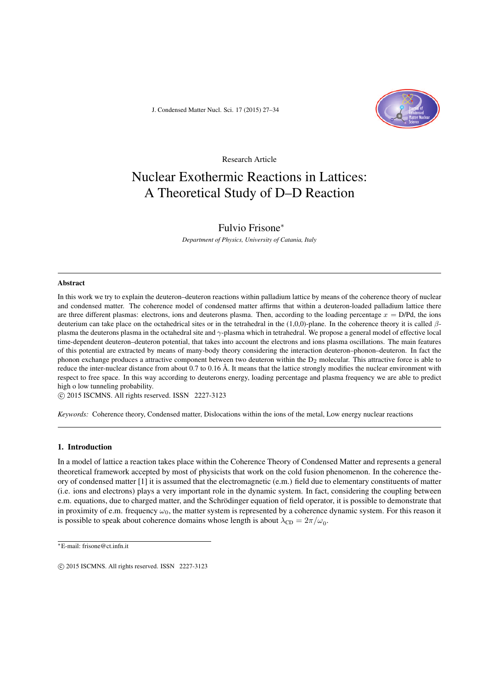J. Condensed Matter Nucl. Sci. 17 (2015) 27–34



Research Article

# Nuclear Exothermic Reactions in Lattices: A Theoretical Study of D–D Reaction

# Fulvio Frisone<sup>∗</sup>

*Department of Physics, University of Catania, Italy*

#### Abstract

In this work we try to explain the deuteron–deuteron reactions within palladium lattice by means of the coherence theory of nuclear and condensed matter. The coherence model of condensed matter affirms that within a deuteron-loaded palladium lattice there are three different plasmas: electrons, ions and deuterons plasma. Then, according to the loading percentage  $x = D/Pd$ , the ions deuterium can take place on the octahedrical sites or in the tetrahedral in the (1,0,0)-plane. In the coherence theory it is called  $\beta$ plasma the deuterons plasma in the octahedral site and  $\gamma$ -plasma which in tetrahedral. We propose a general model of effective local time-dependent deuteron–deuteron potential, that takes into account the electrons and ions plasma oscillations. The main features of this potential are extracted by means of many-body theory considering the interaction deuteron–phonon–deuteron. In fact the phonon exchange produces a attractive component between two deuteron within the  $D_2$  molecular. This attractive force is able to reduce the inter-nuclear distance from about 0.7 to 0.16 Å. It means that the lattice strongly modifies the nuclear environment with respect to free space. In this way according to deuterons energy, loading percentage and plasma frequency we are able to predict high o low tunneling probability.

 $\circ$  2015 ISCMNS. All rights reserved. ISSN 2227-3123

*Keywords:* Coherence theory, Condensed matter, Dislocations within the ions of the metal, Low energy nuclear reactions

# 1. Introduction

In a model of lattice a reaction takes place within the Coherence Theory of Condensed Matter and represents a general theoretical framework accepted by most of physicists that work on the cold fusion phenomenon. In the coherence theory of condensed matter [1] it is assumed that the electromagnetic (e.m.) field due to elementary constituents of matter (i.e. ions and electrons) plays a very important role in the dynamic system. In fact, considering the coupling between e.m. equations, due to charged matter, and the Schrödinger equation of field operator, it is possible to demonstrate that in proximity of e.m. frequency  $\omega_0$ , the matter system is represented by a coherence dynamic system. For this reason it is possible to speak about coherence domains whose length is about  $\lambda_{CD} = 2\pi/\omega_0$ .

<sup>∗</sup>E-mail: frisone@ct.infn.it

 $\odot$  2015 ISCMNS. All rights reserved. ISSN 2227-3123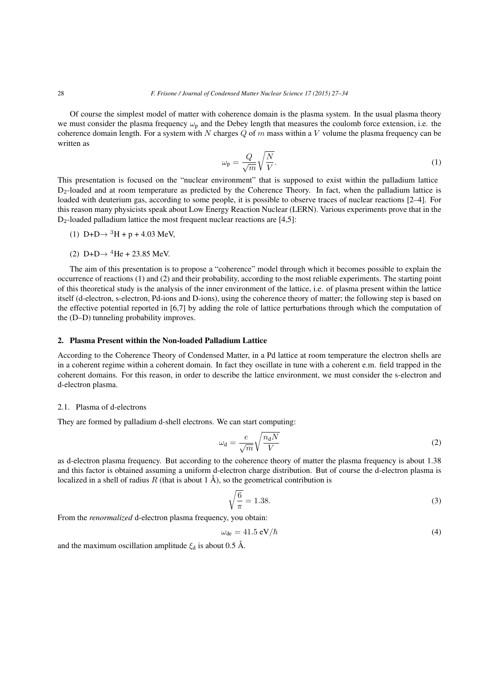Of course the simplest model of matter with coherence domain is the plasma system. In the usual plasma theory we must consider the plasma frequency  $\omega_p$  and the Debey length that measures the coulomb force extension, i.e. the coherence domain length. For a system with N charges  $Q$  of  $m$  mass within a V volume the plasma frequency can be written as

$$
\omega_{\rm p} = \frac{Q}{\sqrt{m}} \sqrt{\frac{N}{V}}.\tag{1}
$$

This presentation is focused on the "nuclear environment" that is supposed to exist within the palladium lattice D<sub>2</sub>-loaded and at room temperature as predicted by the Coherence Theory. In fact, when the palladium lattice is loaded with deuterium gas, according to some people, it is possible to observe traces of nuclear reactions [2–4]. For this reason many physicists speak about Low Energy Reaction Nuclear (LERN). Various experiments prove that in the  $D_2$ -loaded palladium lattice the most frequent nuclear reactions are [4,5]:

- (1)  $D+D \rightarrow {}^{3}H + p + 4.03$  MeV,
- (2) D+D $\rightarrow$  <sup>4</sup>He + 23.85 MeV.

The aim of this presentation is to propose a "coherence" model through which it becomes possible to explain the occurrence of reactions (1) and (2) and their probability, according to the most reliable experiments. The starting point of this theoretical study is the analysis of the inner environment of the lattice, i.e. of plasma present within the lattice itself (d-electron, s-electron, Pd-ions and D-ions), using the coherence theory of matter; the following step is based on the effective potential reported in [6,7] by adding the role of lattice perturbations through which the computation of the (D–D) tunneling probability improves.

#### 2. Plasma Present within the Non-loaded Palladium Lattice

According to the Coherence Theory of Condensed Matter, in a Pd lattice at room temperature the electron shells are in a coherent regime within a coherent domain. In fact they oscillate in tune with a coherent e.m. field trapped in the coherent domains. For this reason, in order to describe the lattice environment, we must consider the s-electron and d-electron plasma.

#### 2.1. Plasma of d-electrons

They are formed by palladium d-shell electrons. We can start computing:

$$
\omega_{\rm d} = \frac{e}{\sqrt{m}} \sqrt{\frac{n_{\rm d}N}{V}}\tag{2}
$$

as d-electron plasma frequency. But according to the coherence theory of matter the plasma frequency is about 1.38 and this factor is obtained assuming a uniform d-electron charge distribution. But of course the d-electron plasma is localized in a shell of radius R (that is about 1  $\AA$ ), so the geometrical contribution is

$$
\sqrt{\frac{6}{\pi}} = 1.38.\tag{3}
$$

From the *renormalized* d-electron plasma frequency, you obtain:

$$
\omega_{\rm de} = 41.5 \,\mathrm{eV}/\hbar \tag{4}
$$

and the maximum oscillation amplitude  $\xi_d$  is about 0.5 Å.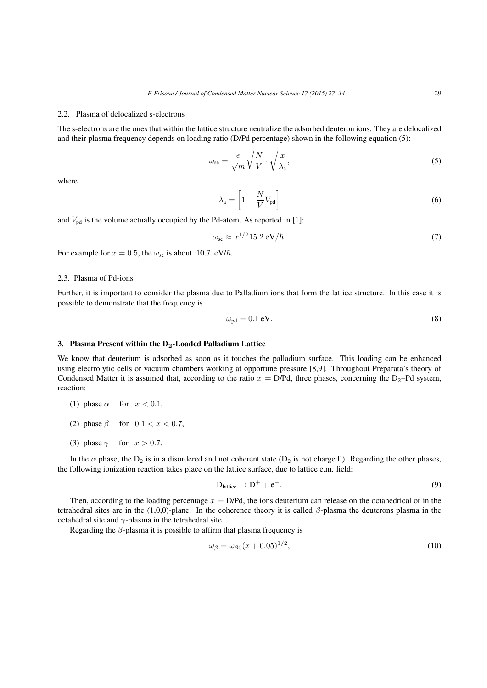# 2.2. Plasma of delocalized s-electrons

The s-electrons are the ones that within the lattice structure neutralize the adsorbed deuteron ions. They are delocalized and their plasma frequency depends on loading ratio (D/Pd percentage) shown in the following equation (5):

$$
\omega_{\rm se} = \frac{e}{\sqrt{m}} \sqrt{\frac{N}{V}} \cdot \sqrt{\frac{x}{\lambda_{\rm a}}},\tag{5}
$$

where

$$
\lambda_{\rm a} = \left[1 - \frac{N}{V} V_{\rm pd}\right] \tag{6}
$$

and  $V_{pd}$  is the volume actually occupied by the Pd-atom. As reported in [1]:

$$
\omega_{\rm se} \approx x^{1/2} 15.2 \,\mathrm{eV}/\hbar. \tag{7}
$$

For example for  $x = 0.5$ , the  $\omega_{se}$  is about 10.7 eV/ $\hbar$ .

#### 2.3. Plasma of Pd-ions

Further, it is important to consider the plasma due to Palladium ions that form the lattice structure. In this case it is possible to demonstrate that the frequency is

$$
\omega_{\rm pd} = 0.1 \, \text{eV}.\tag{8}
$$

# 3. Plasma Present within the  $D_2$ -Loaded Palladium Lattice

We know that deuterium is adsorbed as soon as it touches the palladium surface. This loading can be enhanced using electrolytic cells or vacuum chambers working at opportune pressure [8,9]. Throughout Preparata's theory of Condensed Matter it is assumed that, according to the ratio  $x = D/Pd$ , three phases, concerning the  $D_2-Pd$  system, reaction:

- (1) phase  $\alpha$  for  $x < 0.1$ ,
- (2) phase  $\beta$  for  $0.1 < x < 0.7$ ,
- (3) phase  $\gamma$  for  $x > 0.7$ .

In the  $\alpha$  phase, the  $D_2$  is in a disordered and not coherent state ( $D_2$  is not charged!). Regarding the other phases, the following ionization reaction takes place on the lattice surface, due to lattice e.m. field:

$$
D_{\text{lattice}} \to D^+ + e^-.
$$
 (9)

Then, according to the loading percentage  $x = D/Pd$ , the ions deuterium can release on the octahedrical or in the tetrahedral sites are in the (1,0,0)-plane. In the coherence theory it is called  $\beta$ -plasma the deuterons plasma in the octahedral site and  $\gamma$ -plasma in the tetrahedral site.

Regarding the  $\beta$ -plasma it is possible to affirm that plasma frequency is

$$
\omega_{\beta} = \omega_{\beta 0} (x + 0.05)^{1/2},\tag{10}
$$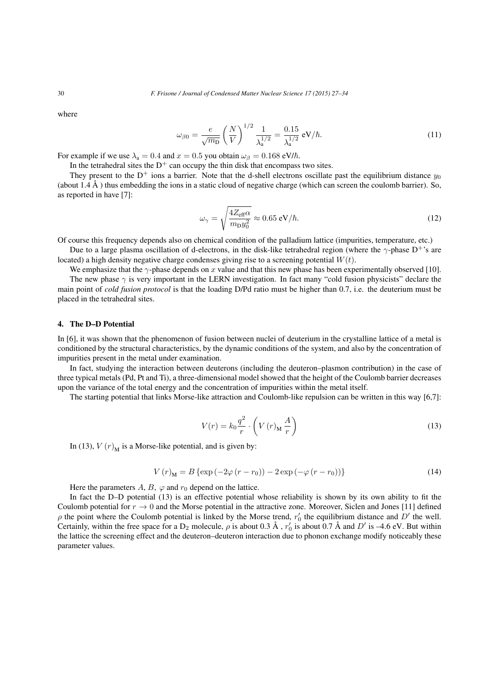where

$$
\omega_{\beta 0} = \frac{e}{\sqrt{m_{\rm D}}} \left(\frac{N}{V}\right)^{1/2} \frac{1}{\lambda_{\rm a}^{1/2}} = \frac{0.15}{\lambda_{\rm a}^{1/2}} \, \text{eV}/\hbar. \tag{11}
$$

For example if we use  $\lambda_a = 0.4$  and  $x = 0.5$  you obtain  $\omega_\beta = 0.168$  eV/ $\hbar$ .

In the tetrahedral sites the  $D^+$  can occupy the thin disk that encompass two sites.

They present to the D<sup>+</sup> ions a barrier. Note that the d-shell electrons oscillate past the equilibrium distance  $y_0$ (about  $1.4 \text{ Å}$ ) thus embedding the ions in a static cloud of negative charge (which can screen the coulomb barrier). So, as reported in have [7]:

$$
\omega_{\gamma} = \sqrt{\frac{4Z_{\text{eff}}\alpha}{m_{\text{D}}y_0^2}} \approx 0.65 \text{ eV}/\hbar. \tag{12}
$$

Of course this frequency depends also on chemical condition of the palladium lattice (impurities, temperature, etc.)

Due to a large plasma oscillation of d-electrons, in the disk-like tetrahedral region (where the  $\gamma$ -phase D<sup>+</sup>'s are located) a high density negative charge condenses giving rise to a screening potential  $W(t)$ .

We emphasize that the  $\gamma$ -phase depends on x value and that this new phase has been experimentally observed [10]. The new phase  $\gamma$  is very important in the LERN investigation. In fact many "cold fusion physicists" declare the main point of *cold fusion protocol* is that the loading D/Pd ratio must be higher than 0.7, i.e. the deuterium must be placed in the tetrahedral sites.

#### 4. The D–D Potential

In [6], it was shown that the phenomenon of fusion between nuclei of deuterium in the crystalline lattice of a metal is conditioned by the structural characteristics, by the dynamic conditions of the system, and also by the concentration of impurities present in the metal under examination.

In fact, studying the interaction between deuterons (including the deuteron–plasmon contribution) in the case of three typical metals (Pd, Pt and Ti), a three-dimensional model showed that the height of the Coulomb barrier decreases upon the variance of the total energy and the concentration of impurities within the metal itself.

The starting potential that links Morse-like attraction and Coulomb-like repulsion can be written in this way [6,7]:

$$
V(r) = k_0 \frac{q^2}{r} \cdot \left( V(r)_M \frac{A}{r} \right)
$$
 (13)

In (13),  $V(r)_{\text{M}}$  is a Morse-like potential, and is given by:

$$
V(r)_{\mathbf{M}} = B \{ \exp(-2\varphi(r - r_0)) - 2\exp(-\varphi(r - r_0)) \}
$$
 (14)

Here the parameters  $A, B, \varphi$  and  $r_0$  depend on the lattice.

In fact the D–D potential (13) is an effective potential whose reliability is shown by its own ability to fit the Coulomb potential for  $r \to 0$  and the Morse potential in the attractive zone. Moreover, Siclen and Jones [11] defined  $\rho$  the point where the Coulomb potential is linked by the Morse trend,  $r'_0$  the equilibrium distance and  $D'$  the well. Certainly, within the free space for a  $D_2$  molecule,  $\rho$  is about 0.3 Å,  $r'_0$  is about 0.7 Å and  $D'$  is -4.6 eV. But within the lattice the screening effect and the deuteron–deuteron interaction due to phonon exchange modify noticeably these parameter values.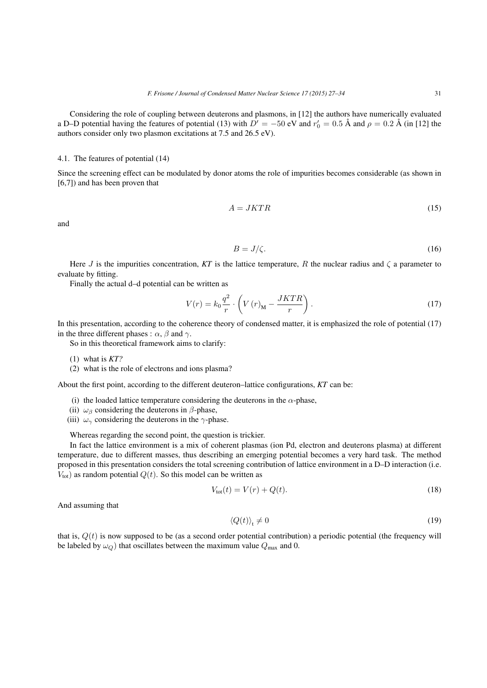Considering the role of coupling between deuterons and plasmons, in [12] the authors have numerically evaluated a D–D potential having the features of potential (13) with  $D' = -50$  eV and  $r'_0 = 0.5$  Å and  $\rho = 0.2$  Å (in [12] the authors consider only two plasmon excitations at 7.5 and 26.5 eV).

# 4.1. The features of potential (14)

Since the screening effect can be modulated by donor atoms the role of impurities becomes considerable (as shown in [6,7]) and has been proven that

$$
A = JKTR \tag{15}
$$

and

$$
B = J/\zeta. \tag{16}
$$

Here J is the impurities concentration,  $KT$  is the lattice temperature, R the nuclear radius and  $\zeta$  a parameter to evaluate by fitting.

Finally the actual d–d potential can be written as

$$
V(r) = k_0 \frac{q^2}{r} \cdot \left( V(r)_{\mathbf{M}} - \frac{JKTR}{r} \right). \tag{17}
$$

In this presentation, according to the coherence theory of condensed matter, it is emphasized the role of potential (17) in the three different phases :  $\alpha$ ,  $\beta$  and  $\gamma$ .

So in this theoretical framework aims to clarify:

- (1) what is *KT?*
- (2) what is the role of electrons and ions plasma?

About the first point, according to the different deuteron–lattice configurations, *KT* can be:

- (i) the loaded lattice temperature considering the deuterons in the  $\alpha$ -phase,
- (ii)  $\omega_\beta$  considering the deuterons in  $\beta$ -phase,
- (iii)  $\omega_{\gamma}$  considering the deuterons in the  $\gamma$ -phase.

Whereas regarding the second point, the question is trickier.

In fact the lattice environment is a mix of coherent plasmas (ion Pd, electron and deuterons plasma) at different temperature, due to different masses, thus describing an emerging potential becomes a very hard task. The method proposed in this presentation considers the total screening contribution of lattice environment in a D–D interaction (i.e.  $V_{\text{tot}}$ ) as random potential  $Q(t)$ . So this model can be written as

$$
V_{\text{tot}}(t) = V(r) + Q(t). \tag{18}
$$

And assuming that

$$
\langle Q(t) \rangle_t \neq 0 \tag{19}
$$

that is,  $Q(t)$  is now supposed to be (as a second order potential contribution) a periodic potential (the frequency will be labeled by  $\omega_Q$ ) that oscillates between the maximum value  $Q_{\text{max}}$  and 0.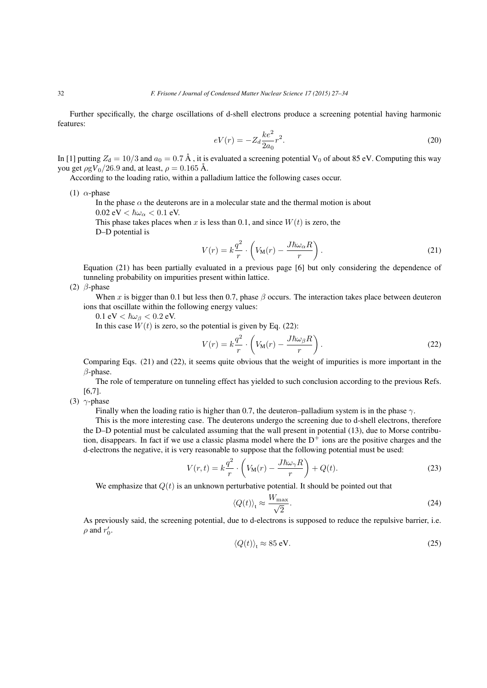Further specifically, the charge oscillations of d-shell electrons produce a screening potential having harmonic features:

$$
eV(r) = -Z_d \frac{ke^2}{2a_0} r^2.
$$
\n(20)

In [1] putting  $Z_d = 10/3$  and  $a_0 = 0.7 \text{ Å}$ , it is evaluated a screening potential V<sub>0</sub> of about 85 eV. Computing this way you get  $\rho g V_0/26.9$  and, at least,  $\rho = 0.165$  Å.

According to the loading ratio, within a palladium lattice the following cases occur.

(1)  $\alpha$ -phase

In the phase  $\alpha$  the deuterons are in a molecular state and the thermal motion is about  $0.02 \text{ eV} < \hbar \omega_{\alpha} < 0.1 \text{ eV}.$ 

This phase takes places when x is less than 0.1, and since  $W(t)$  is zero, the D–D potential is

$$
V(r) = k \frac{q^2}{r} \cdot \left( V_M(r) - \frac{J \hbar \omega_\alpha R}{r} \right). \tag{21}
$$

Equation (21) has been partially evaluated in a previous page [6] but only considering the dependence of tunneling probability on impurities present within lattice.

(2)  $\beta$ -phase

When x is bigger than 0.1 but less then 0.7, phase  $\beta$  occurs. The interaction takes place between deuteron ions that oscillate within the following energy values:

0.1 eV  $< \hbar \omega_\beta < 0.2$  eV.

In this case  $W(t)$  is zero, so the potential is given by Eq. (22):

$$
V(r) = k \frac{q^2}{r} \cdot \left( V_M(r) - \frac{J \hbar \omega_\beta R}{r} \right). \tag{22}
$$

Comparing Eqs. (21) and (22), it seems quite obvious that the weight of impurities is more important in the  $\beta$ -phase.

The role of temperature on tunneling effect has yielded to such conclusion according to the previous Refs. [6,7].

(3)  $\gamma$ -phase

Finally when the loading ratio is higher than 0.7, the deuteron–palladium system is in the phase  $\gamma$ .

This is the more interesting case. The deuterons undergo the screening due to d-shell electrons, therefore the D–D potential must be calculated assuming that the wall present in potential (13), due to Morse contribution, disappears. In fact if we use a classic plasma model where the  $D<sup>+</sup>$  ions are the positive charges and the d-electrons the negative, it is very reasonable to suppose that the following potential must be used:

$$
V(r,t) = k \frac{q^2}{r} \cdot \left( V_{\mathbf{M}}(r) - \frac{J\hbar \omega_{\gamma} R}{r} \right) + Q(t). \tag{23}
$$

We emphasize that  $Q(t)$  is an unknown perturbative potential. It should be pointed out that

$$
\langle Q(t) \rangle_{\rm t} \approx \frac{W_{\rm max}}{\sqrt{2}}.\tag{24}
$$

As previously said, the screening potential, due to d-electrons is supposed to reduce the repulsive barrier, i.e.  $\rho$  and  $r'_0$ .

$$
\langle Q(t) \rangle_t \approx 85 \text{ eV}.\tag{25}
$$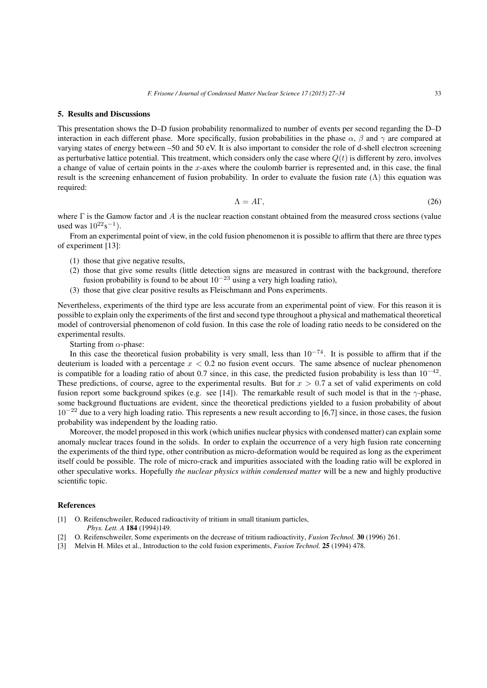#### 5. Results and Discussions

This presentation shows the D–D fusion probability renormalized to number of events per second regarding the D–D interaction in each different phase. More specifically, fusion probabilities in the phase  $\alpha$ ,  $\beta$  and  $\gamma$  are compared at varying states of energy between –50 and 50 eV. It is also important to consider the role of d-shell electron screening as perturbative lattice potential. This treatment, which considers only the case where  $Q(t)$  is different by zero, involves a change of value of certain points in the x-axes where the coulomb barrier is represented and, in this case, the final result is the screening enhancement of fusion probability. In order to evaluate the fusion rate  $(Λ)$  this equation was required:

$$
\Lambda = A\Gamma,\tag{26}
$$

where  $\Gamma$  is the Gamow factor and A is the nuclear reaction constant obtained from the measured cross sections (value used was  $10^{22}$ s<sup>-1</sup>).

From an experimental point of view, in the cold fusion phenomenon it is possible to affirm that there are three types of experiment [13]:

- (1) those that give negative results,
- (2) those that give some results (little detection signs are measured in contrast with the background, therefore fusion probability is found to be about  $10^{-23}$  using a very high loading ratio),
- (3) those that give clear positive results as Fleischmann and Pons experiments.

Nevertheless, experiments of the third type are less accurate from an experimental point of view. For this reason it is possible to explain only the experiments of the first and second type throughout a physical and mathematical theoretical model of controversial phenomenon of cold fusion. In this case the role of loading ratio needs to be considered on the experimental results.

Starting from  $\alpha$ -phase:

In this case the theoretical fusion probability is very small, less than  $10^{-74}$ . It is possible to affirm that if the deuterium is loaded with a percentage  $x < 0.2$  no fusion event occurs. The same absence of nuclear phenomenon is compatible for a loading ratio of about 0.7 since, in this case, the predicted fusion probability is less than  $10^{-42}$ . These predictions, of course, agree to the experimental results. But for  $x > 0.7$  a set of valid experiments on cold fusion report some background spikes (e.g. see [14]). The remarkable result of such model is that in the  $\gamma$ -phase, some background fluctuations are evident, since the theoretical predictions yielded to a fusion probability of about  $10^{-22}$  due to a very high loading ratio. This represents a new result according to [6,7] since, in those cases, the fusion probability was independent by the loading ratio.

Moreover, the model proposed in this work (which unifies nuclear physics with condensed matter) can explain some anomaly nuclear traces found in the solids. In order to explain the occurrence of a very high fusion rate concerning the experiments of the third type, other contribution as micro-deformation would be required as long as the experiment itself could be possible. The role of micro-crack and impurities associated with the loading ratio will be explored in other speculative works. Hopefully *the nuclear physics within condensed matter* will be a new and highly productive scientific topic.

#### References

- [1] O. Reifenschweiler, Reduced radioactivity of tritium in small titanium particles, *Phys. Lett. A* 184 (1994)149.
- [2] O. Reifenschweiler, Some experiments on the decrease of tritium radioactivity, *Fusion Technol.* 30 (1996) 261.
- [3] Melvin H. Miles et al., Introduction to the cold fusion experiments, *Fusion Technol.* 25 (1994) 478.